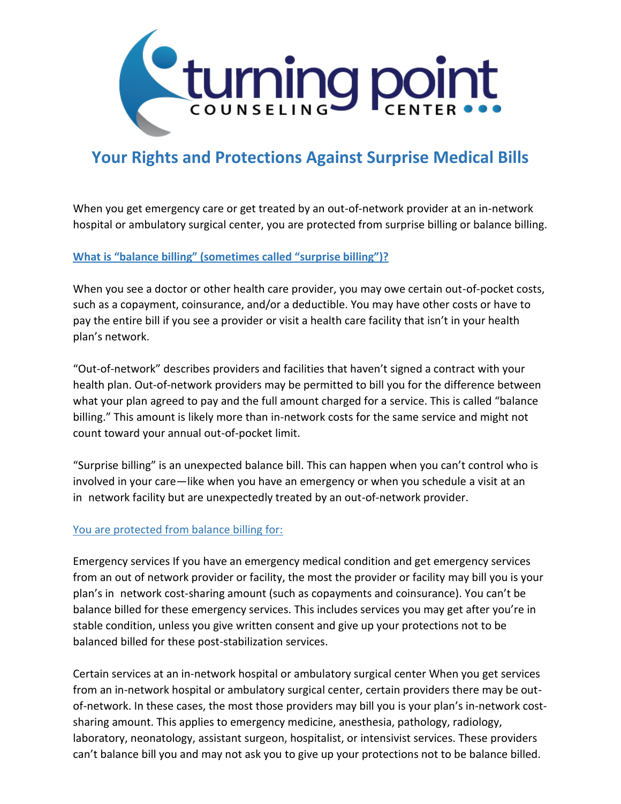

## **Your Rights and Protections Against Surprise Medical Bills**

When you get emergency care or get treated by an out-of-network provider at an in-network hospital or ambulatory surgical center, you are protected from surprise billing or balance billing.

## **What is "balance billing" (sometimes called "surprise billing")?**

When you see a doctor or other health care provider, you may owe certain out-of-pocket costs, such as a copayment, coinsurance, and/or a deductible. You may have other costs or have to pay the entire bill if you see a provider or visit a health care facility that isn't in your health plan's network.

"Out-of-network" describes providers and facilities that haven't signed a contract with your health plan. Out-of-network providers may be permitted to bill you for the difference between what your plan agreed to pay and the full amount charged for a service. This is called "balance billing." This amount is likely more than in-network costs for the same service and might not count toward your annual out-of-pocket limit.

"Surprise billing" is an unexpected balance bill. This can happen when you can't control who is involved in your care—like when you have an emergency or when you schedule a visit at an in network facility but are unexpectedly treated by an out-of-network provider.

## You are protected from balance billing for:

Emergency services If you have an emergency medical condition and get emergency services from an out of network provider or facility, the most the provider or facility may bill you is your plan's in network cost-sharing amount (such as copayments and coinsurance). You can't be balance billed for these emergency services. This includes services you may get after you're in stable condition, unless you give written consent and give up your protections not to be balanced billed for these post-stabilization services.

Certain services at an in-network hospital or ambulatory surgical center When you get services from an in-network hospital or ambulatory surgical center, certain providers there may be outof-network. In these cases, the most those providers may bill you is your plan's in-network costsharing amount. This applies to emergency medicine, anesthesia, pathology, radiology, laboratory, neonatology, assistant surgeon, hospitalist, or intensivist services. These providers can't balance bill you and may not ask you to give up your protections not to be balance billed.